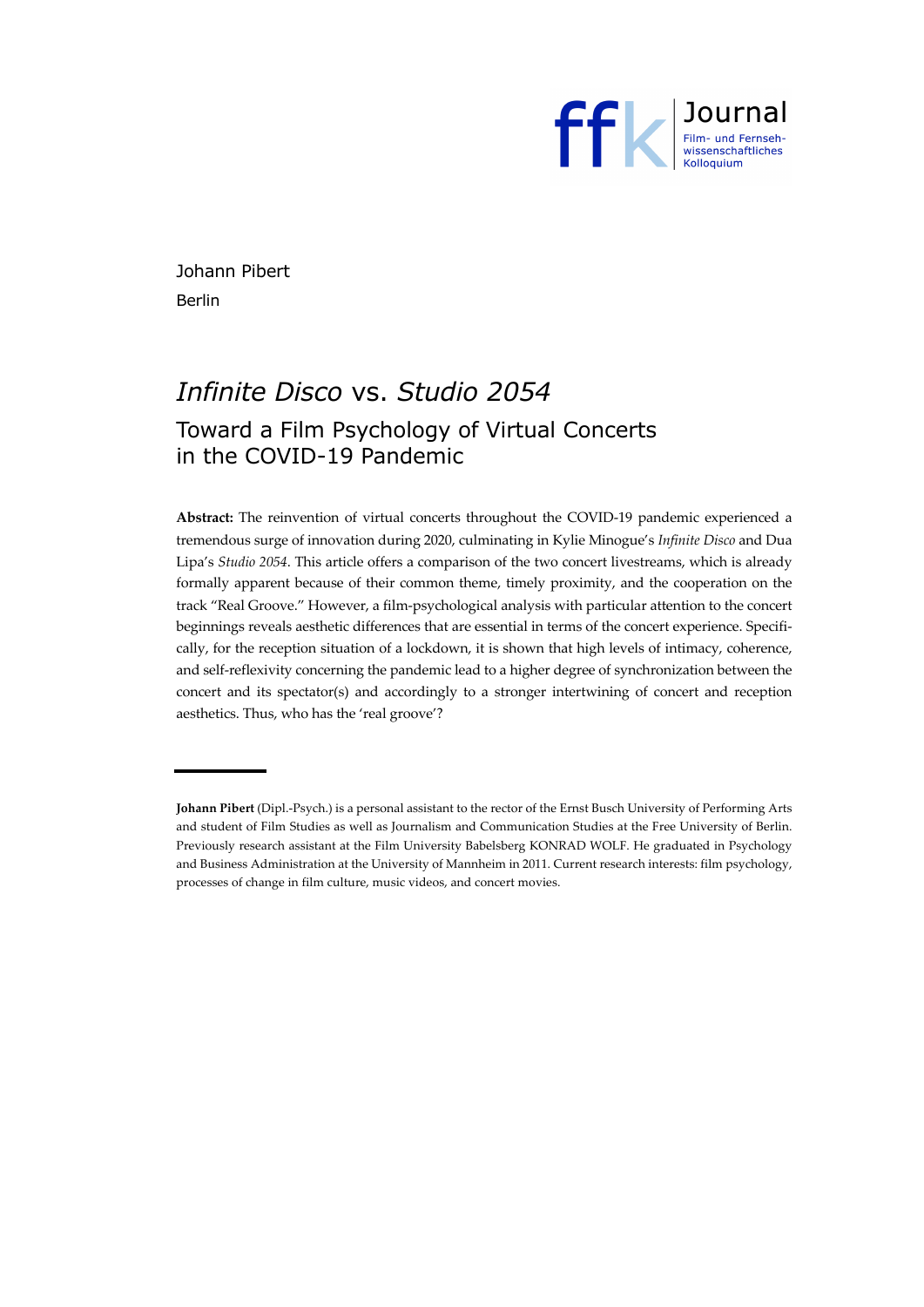

Johann Pibert Berlin

# *Infinite Disco* vs. *Studio 2054* Toward a Film Psychology of Virtual Concerts in the COVID-19 Pandemic

**Abstract:** The reinvention of virtual concerts throughout the COVID-19 pandemic experienced a tremendous surge of innovation during 2020, culminating in Kylie Minogue's *Infinite Disco* and Dua Lipa's *Studio 2054*. This article offers a comparison of the two concert livestreams, which is already formally apparent because of their common theme, timely proximity, and the cooperation on the track "Real Groove." However, a film-psychological analysis with particular attention to the concert beginnings reveals aesthetic differences that are essential in terms of the concert experience. Specifically, for the reception situation of a lockdown, it is shown that high levels of intimacy, coherence, and self-reflexivity concerning the pandemic lead to a higher degree of synchronization between the concert and its spectator(s) and accordingly to a stronger intertwining of concert and reception aesthetics. Thus, who has the 'real groove'?

**Johann Pibert** (Dipl.-Psych.) is a personal assistant to the rector of the Ernst Busch University of Performing Arts and student of Film Studies as well as Journalism and Communication Studies at the Free University of Berlin. Previously research assistant at the Film University Babelsberg KONRAD WOLF. He graduated in Psychology and Business Administration at the University of Mannheim in 2011. Current research interests: film psychology, processes of change in film culture, music videos, and concert movies.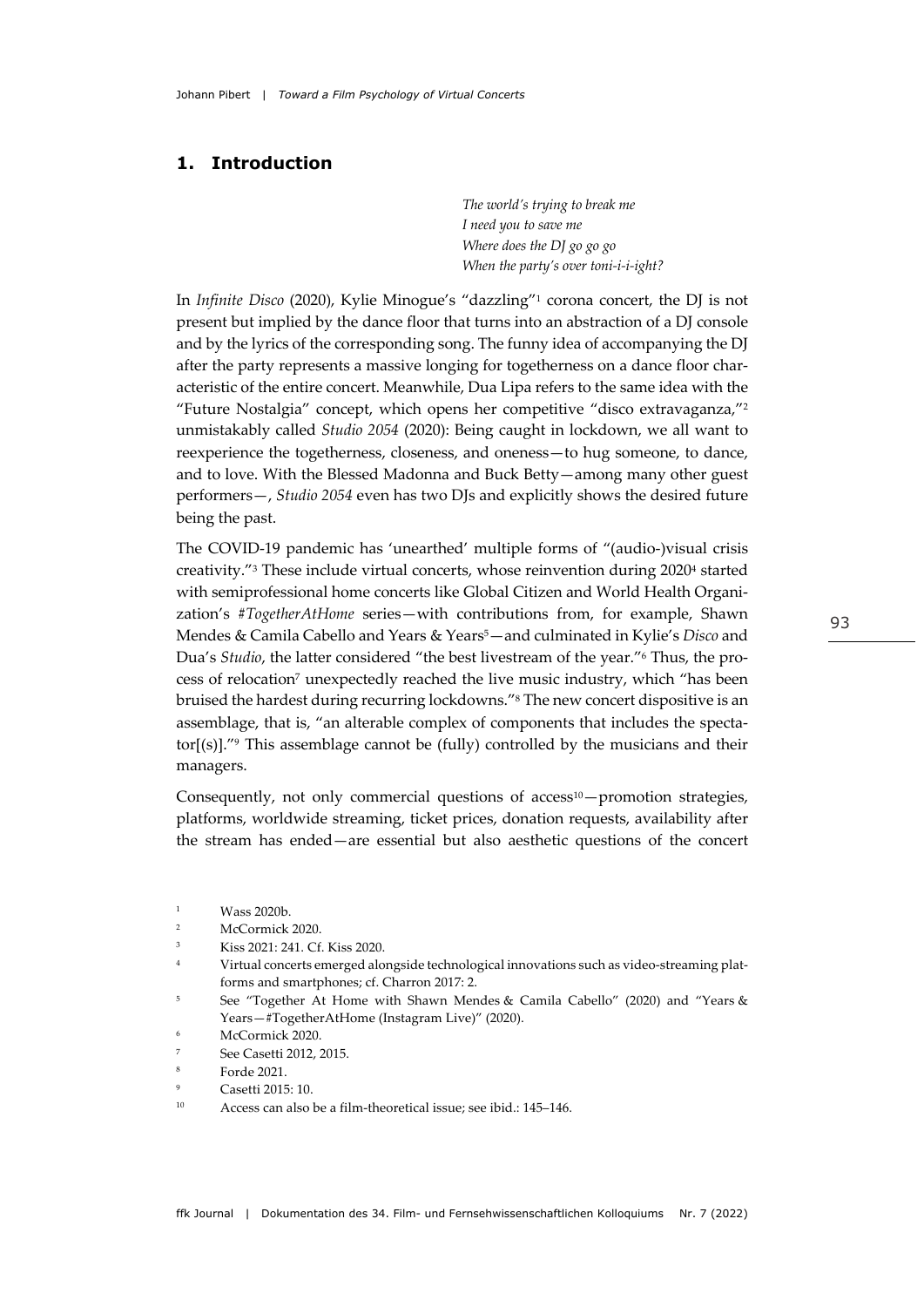## **1. Introduction**

*The world's trying to break me I need you to save me Where does the DJ go go go When the party's over toni-i-i-ight?*

In *Infinite Disco* (2020), Kylie Minogue's "dazzling"1 corona concert, the DJ is not present but implied by the dance floor that turns into an abstraction of a DJ console and by the lyrics of the corresponding song. The funny idea of accompanying the DJ after the party represents a massive longing for togetherness on a dance floor characteristic of the entire concert. Meanwhile, Dua Lipa refers to the same idea with the "Future Nostalgia" concept, which opens her competitive "disco extravaganza,"2 unmistakably called *Studio 2054* (2020): Being caught in lockdown, we all want to reexperience the togetherness, closeness, and oneness—to hug someone, to dance, and to love. With the Blessed Madonna and Buck Betty—among many other guest performers—, *Studio 2054* even has two DJs and explicitly shows the desired future being the past.

The COVID-19 pandemic has 'unearthed' multiple forms of "(audio-)visual crisis creativity."3 These include virtual concerts, whose reinvention during 20204 started with semiprofessional home concerts like Global Citizen and World Health Organization's *#TogetherAtHome* series—with contributions from, for example, Shawn Mendes & Camila Cabello and Years & Years5—and culminated in Kylie's *Disco* and Dua's *Studio*, the latter considered "the best livestream of the year."6 Thus, the process of relocation7 unexpectedly reached the live music industry, which "has been bruised the hardest during recurring lockdowns."8 The new concert dispositive is an assemblage, that is, "an alterable complex of components that includes the spectator $[(s)]$ ."<sup>9</sup> This assemblage cannot be (fully) controlled by the musicians and their managers.

Consequently, not only commercial questions of access<sup>10</sup>—promotion strategies, platforms, worldwide streaming, ticket prices, donation requests, availability after the stream has ended—are essential but also aesthetic questions of the concert

<sup>7</sup> See Casetti 2012, 2015.

<sup>1</sup> Wass 2020b.

<sup>2</sup> McCormick 2020.

Kiss 2021: 241. Cf. Kiss 2020.

<sup>4</sup> Virtual concerts emerged alongside technological innovations such as video-streaming platforms and smartphones; cf. Charron 2017: 2.

<sup>5</sup> See "Together At Home with Shawn Mendes & Camila Cabello" (2020) and "Years & Years—#TogetherAtHome (Instagram Live)" (2020).

<sup>6</sup> McCormick 2020.

Forde 2021.

Casetti 2015: 10.

<sup>10</sup> Access can also be a film-theoretical issue; see ibid.: 145–146.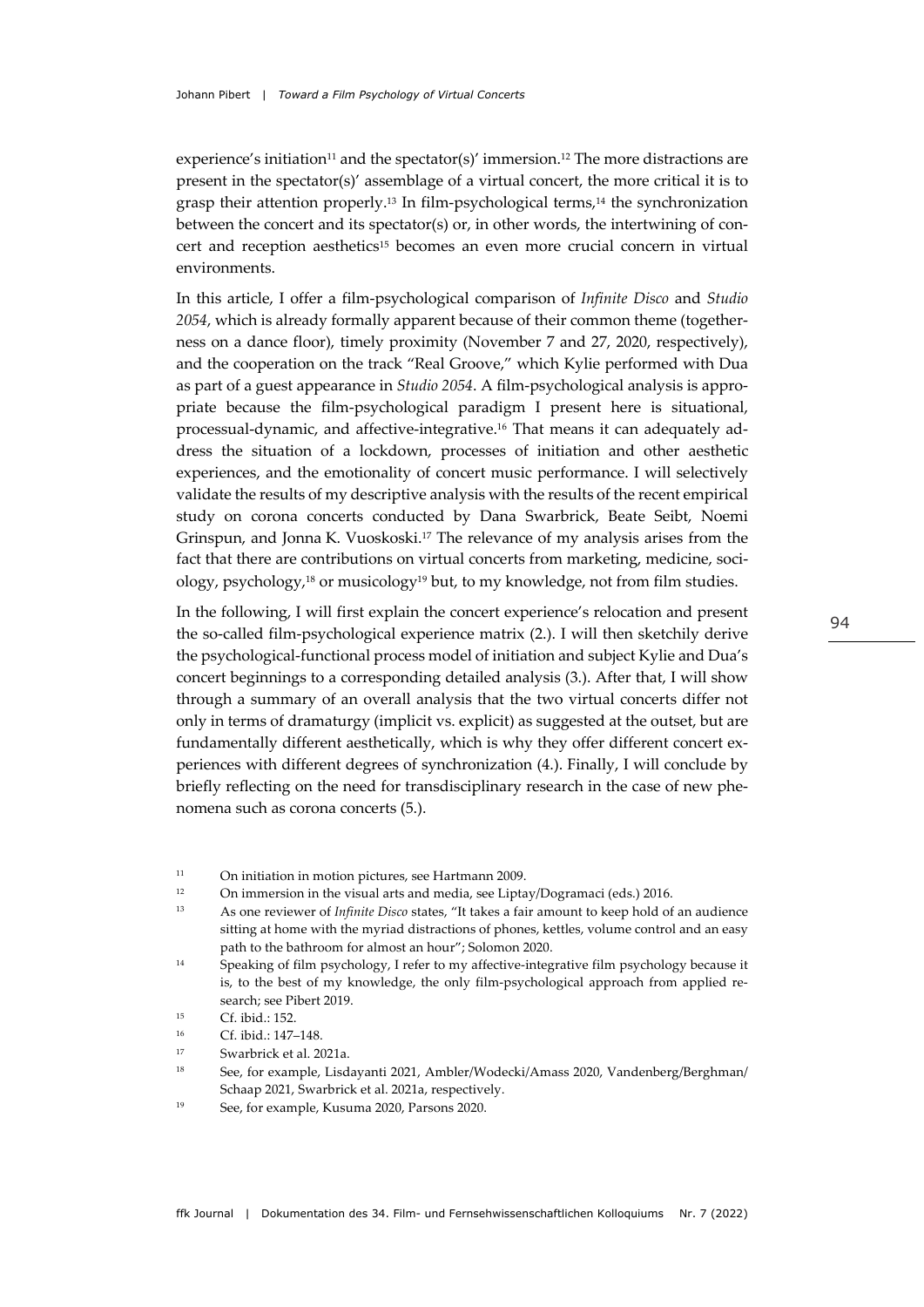experience's initiation<sup>11</sup> and the spectator(s)' immersion.<sup>12</sup> The more distractions are present in the spectator(s)' assemblage of a virtual concert, the more critical it is to grasp their attention properly.13 In film-psychological terms,14 the synchronization between the concert and its spectator(s) or, in other words, the intertwining of concert and reception aesthetics<sup>15</sup> becomes an even more crucial concern in virtual environments.

In this article, I offer a film-psychological comparison of *Infinite Disco* and *Studio 2054*, which is already formally apparent because of their common theme (togetherness on a dance floor), timely proximity (November 7 and 27, 2020, respectively), and the cooperation on the track "Real Groove," which Kylie performed with Dua as part of a guest appearance in *Studio 2054*. A film-psychological analysis is appropriate because the film-psychological paradigm I present here is situational, processual-dynamic, and affective-integrative.16 That means it can adequately address the situation of a lockdown, processes of initiation and other aesthetic experiences, and the emotionality of concert music performance. I will selectively validate the results of my descriptive analysis with the results of the recent empirical study on corona concerts conducted by Dana Swarbrick, Beate Seibt, Noemi Grinspun, and Jonna K. Vuoskoski.17 The relevance of my analysis arises from the fact that there are contributions on virtual concerts from marketing, medicine, sociology, psychology,18 or musicology19 but, to my knowledge, not from film studies.

In the following, I will first explain the concert experience's relocation and present the so-called film-psychological experience matrix (2.). I will then sketchily derive the psychological-functional process model of initiation and subject Kylie and Dua's concert beginnings to a corresponding detailed analysis (3.). After that, I will show through a summary of an overall analysis that the two virtual concerts differ not only in terms of dramaturgy (implicit vs. explicit) as suggested at the outset, but are fundamentally different aesthetically, which is why they offer different concert experiences with different degrees of synchronization (4.). Finally, I will conclude by briefly reflecting on the need for transdisciplinary research in the case of new phenomena such as corona concerts (5.).

<sup>12</sup> On immersion in the visual arts and media, see Liptay/Dogramaci (eds.) 2016.

<sup>13</sup> As one reviewer of *Infinite Disco* states, "It takes a fair amount to keep hold of an audience sitting at home with the myriad distractions of phones, kettles, volume control and an easy path to the bathroom for almost an hour"; Solomon 2020.

<sup>14</sup> Speaking of film psychology, I refer to my affective-integrative film psychology because it is, to the best of my knowledge, the only film-psychological approach from applied research; see Pibert 2019.

<sup>11</sup> On initiation in motion pictures, see Hartmann 2009.

<sup>15</sup> Cf. ibid.: 152.

<sup>16</sup> Cf. ibid.: 147–148.

<sup>17</sup> Swarbrick et al. 2021a.

<sup>18</sup> See, for example, Lisdayanti 2021, Ambler/Wodecki/Amass 2020, Vandenberg/Berghman/ Schaap 2021, Swarbrick et al. 2021a, respectively.

<sup>19</sup> See, for example, Kusuma 2020, Parsons 2020.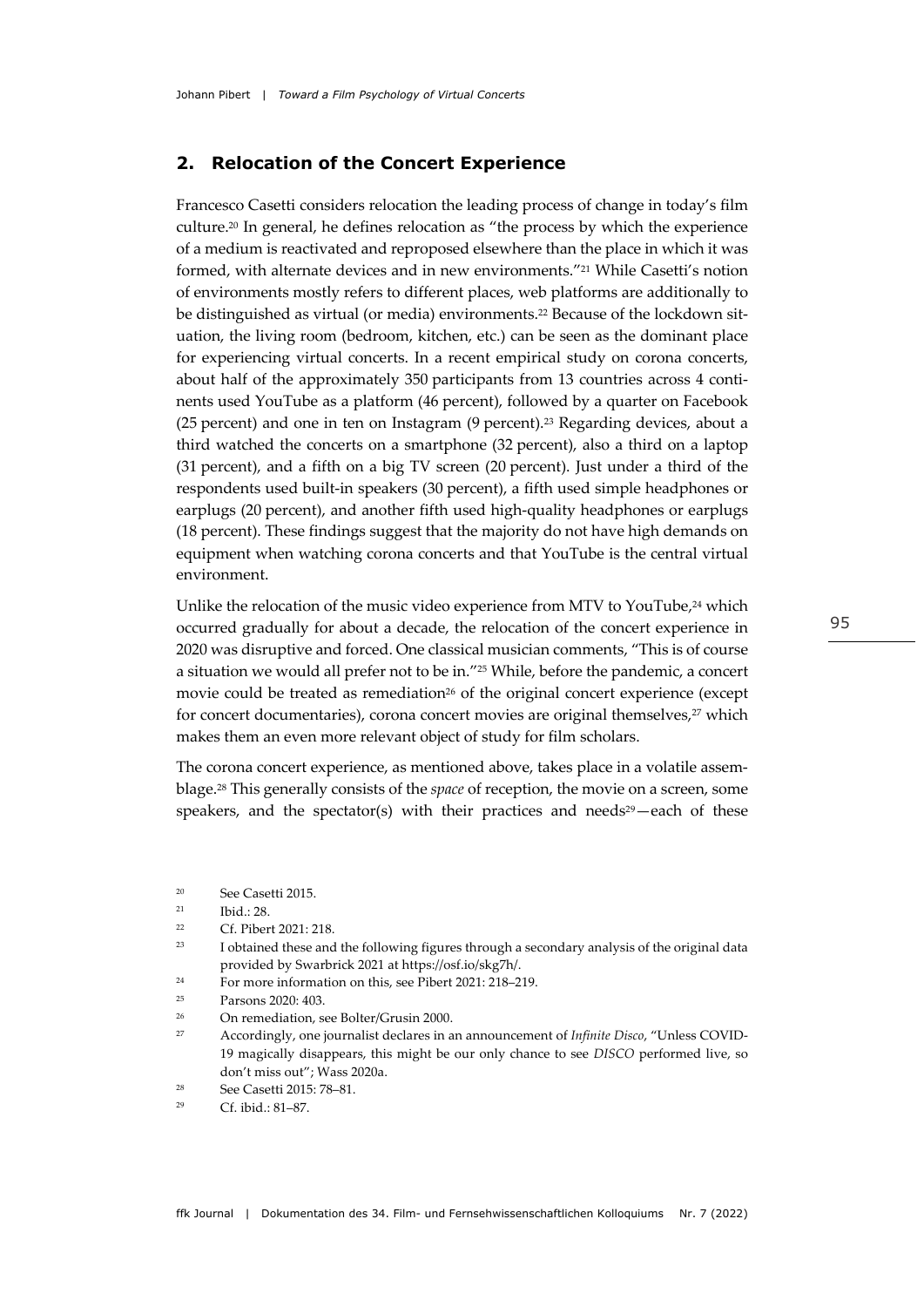## **2. Relocation of the Concert Experience**

Francesco Casetti considers relocation the leading process of change in today's film culture.20 In general, he defines relocation as "the process by which the experience of a medium is reactivated and reproposed elsewhere than the place in which it was formed, with alternate devices and in new environments."21 While Casetti's notion of environments mostly refers to different places, web platforms are additionally to be distinguished as virtual (or media) environments.<sup>22</sup> Because of the lockdown situation, the living room (bedroom, kitchen, etc.) can be seen as the dominant place for experiencing virtual concerts. In a recent empirical study on corona concerts, about half of the approximately 350 participants from 13 countries across 4 continents used YouTube as a platform (46 percent), followed by a quarter on Facebook (25 percent) and one in ten on Instagram (9 percent).23 Regarding devices, about a third watched the concerts on a smartphone (32 percent), also a third on a laptop (31 percent), and a fifth on a big TV screen (20 percent). Just under a third of the respondents used built-in speakers (30 percent), a fifth used simple headphones or earplugs (20 percent), and another fifth used high-quality headphones or earplugs (18 percent). These findings suggest that the majority do not have high demands on equipment when watching corona concerts and that YouTube is the central virtual environment.

Unlike the relocation of the music video experience from MTV to YouTube,<sup>24</sup> which occurred gradually for about a decade, the relocation of the concert experience in 2020 was disruptive and forced. One classical musician comments, "This is of course a situation we would all prefer not to be in."25 While, before the pandemic, a concert movie could be treated as remediation<sup>26</sup> of the original concert experience (except for concert documentaries), corona concert movies are original themselves,<sup>27</sup> which makes them an even more relevant object of study for film scholars.

The corona concert experience, as mentioned above, takes place in a volatile assemblage.28 This generally consists of the *space* of reception, the movie on a screen, some speakers, and the spectator(s) with their practices and needs $29$  each of these

- <sup>24</sup> For more information on this, see Pibert 2021: 218–219.
- $25$  Parsons  $2020 \cdot 403$
- <sup>26</sup> On remediation, see Bolter/Grusin 2000.
- <sup>27</sup> Accordingly, one journalist declares in an announcement of *Infinite Disco*, "Unless COVID-19 magically disappears, this might be our only chance to see *DISCO* performed live, so don't miss out"; Wass 2020a.
- <sup>28</sup> See Casetti 2015: 78–81.

<sup>20</sup> See Casetti 2015.

<sup>21</sup> Ibid.: 28.

<sup>22</sup> Cf. Pibert 2021: 218.

<sup>&</sup>lt;sup>23</sup> I obtained these and the following figures through a secondary analysis of the original data provided by Swarbrick 2021 at https://osf.io/skg7h/.

<sup>29</sup> Cf. ibid.: 81–87.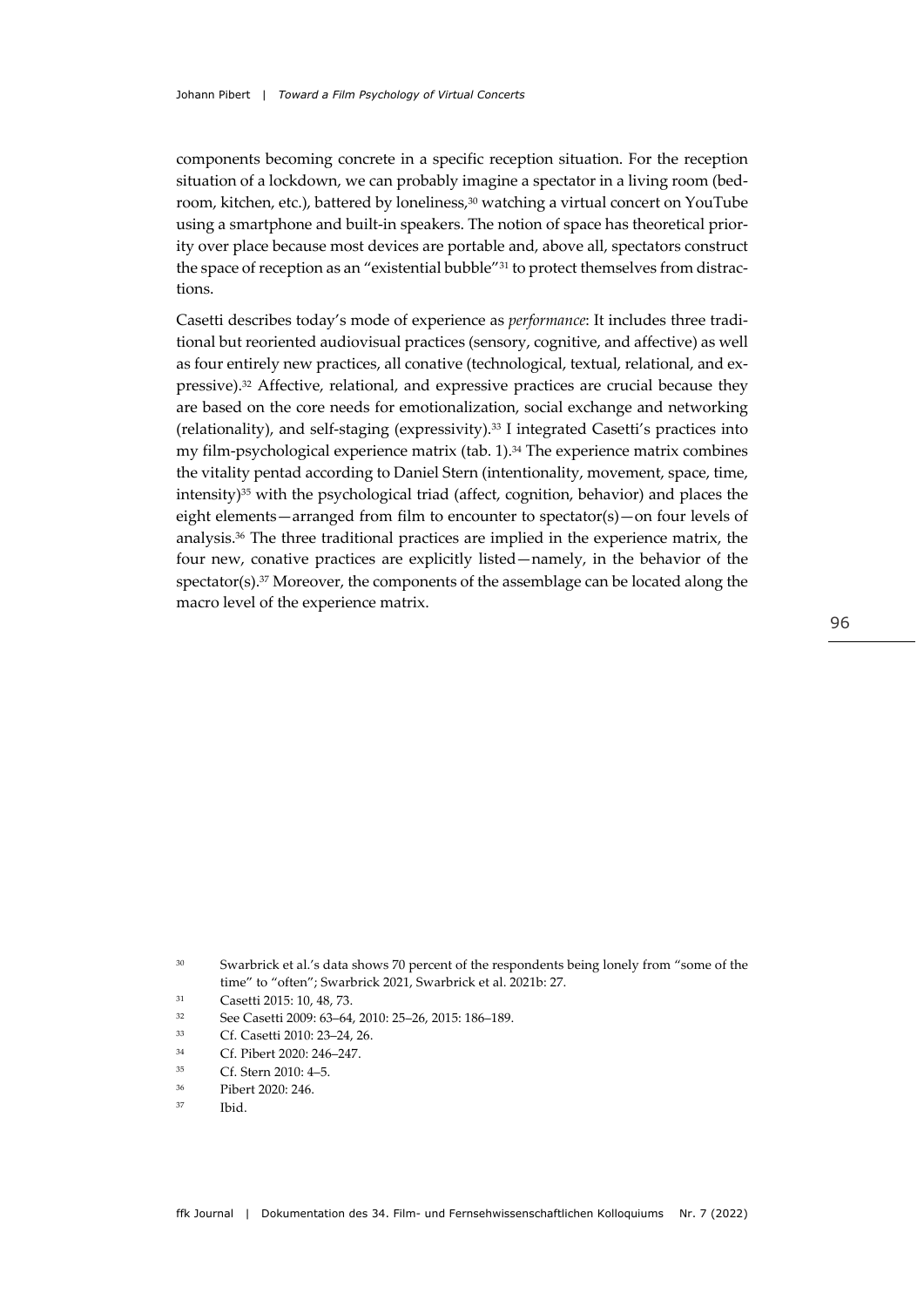components becoming concrete in a specific reception situation. For the reception situation of a lockdown, we can probably imagine a spectator in a living room (bedroom, kitchen, etc.), battered by loneliness,30 watching a virtual concert on YouTube using a smartphone and built-in speakers. The notion of space has theoretical priority over place because most devices are portable and, above all, spectators construct the space of reception as an "existential bubble"<sup>31</sup> to protect themselves from distractions.

Casetti describes today's mode of experience as *performance*: It includes three traditional but reoriented audiovisual practices (sensory, cognitive, and affective) as well as four entirely new practices, all conative (technological, textual, relational, and expressive).32 Affective, relational, and expressive practices are crucial because they are based on the core needs for emotionalization, social exchange and networking (relationality), and self-staging (expressivity).33 I integrated Casetti's practices into my film-psychological experience matrix (tab. 1).34 The experience matrix combines the vitality pentad according to Daniel Stern (intentionality, movement, space, time, intensity)35 with the psychological triad (affect, cognition, behavior) and places the eight elements—arranged from film to encounter to spectator(s)—on four levels of analysis.36 The three traditional practices are implied in the experience matrix, the four new, conative practices are explicitly listed—namely, in the behavior of the spectator(s). $37$  Moreover, the components of the assemblage can be located along the macro level of the experience matrix.

96

<sup>&</sup>lt;sup>30</sup> Swarbrick et al.'s data shows 70 percent of the respondents being lonely from "some of the time" to "often"; Swarbrick 2021, Swarbrick et al. 2021b: 27.

<sup>31</sup> Casetti 2015: 10, 48, 73.

<sup>32</sup> See Casetti 2009: 63–64, 2010: 25–26, 2015: 186–189.

<sup>33</sup> Cf. Casetti 2010: 23–24, 26.

<sup>34</sup> Cf. Pibert 2020: 246–247.

<sup>35</sup> Cf. Stern 2010: 4–5.

<sup>36</sup> Pibert 2020: 246.

<sup>37</sup> Ibid.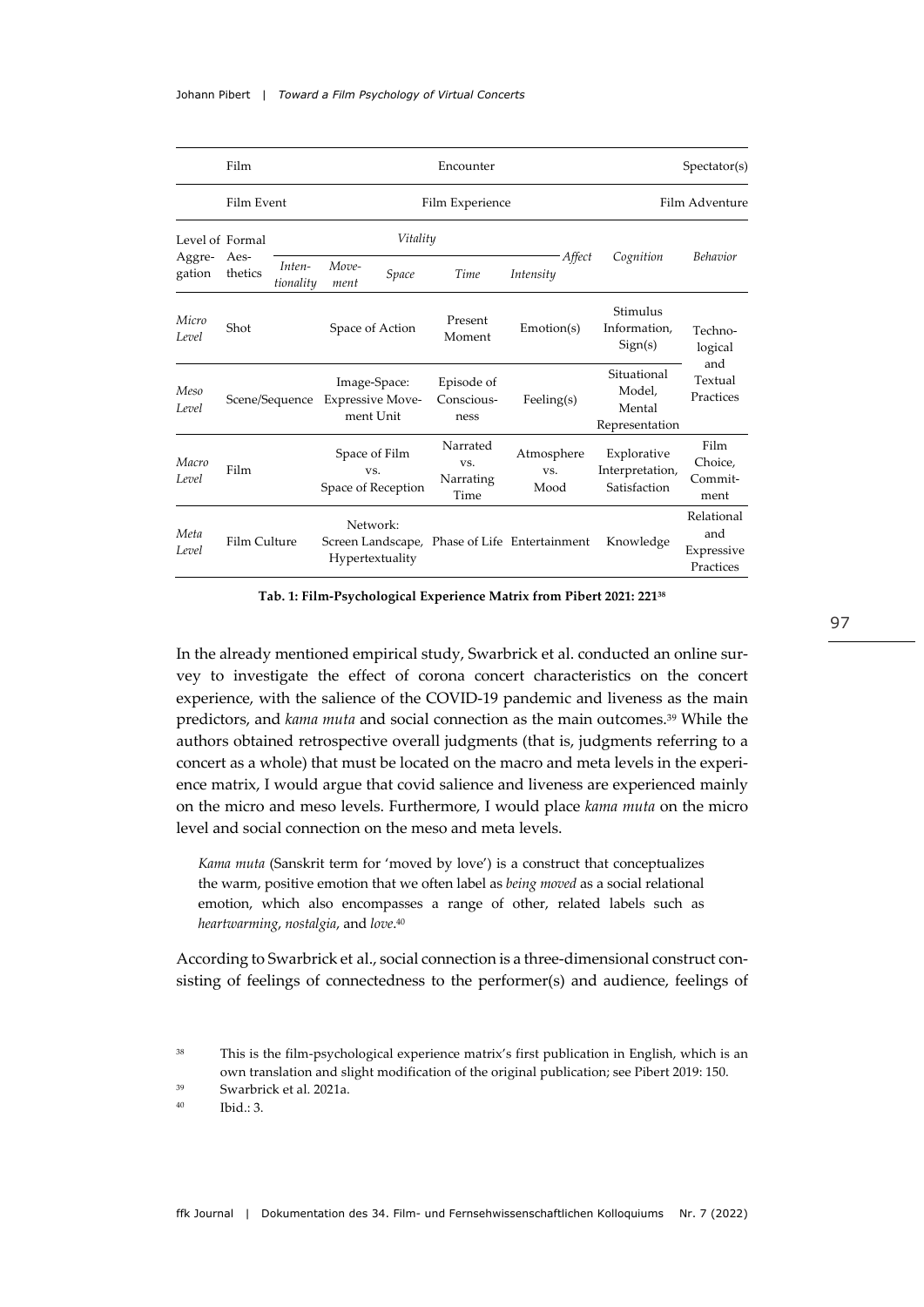|                                     | Film            |                                                                        | Encounter                                  |                                  |                                      |                                                   |                                                | Spectator(s)                                 |
|-------------------------------------|-----------------|------------------------------------------------------------------------|--------------------------------------------|----------------------------------|--------------------------------------|---------------------------------------------------|------------------------------------------------|----------------------------------------------|
|                                     | Film Event      |                                                                        | Film Experience                            |                                  |                                      |                                                   | Film Adventure                                 |                                              |
| Level of Formal<br>Aggre-<br>gation | Aes-<br>thetics | Vitality                                                               |                                            |                                  |                                      |                                                   |                                                |                                              |
|                                     |                 | Inten-<br>tionality                                                    | Move-<br>ment                              | Space                            | Time                                 | Affect<br>Intensity                               | Cognition                                      | <b>Behavior</b>                              |
| Micro<br>Level                      | Shot            |                                                                        |                                            | Space of Action                  | Present<br>Moment                    | Emotion(s)                                        | Stimulus<br>Information,<br>Sign(s)            | Techno-<br>logical                           |
| Meso<br>Level                       |                 | Image-Space:<br><b>Expressive Move-</b><br>Scene/Sequence<br>ment Unit |                                            | Episode of<br>Conscious-<br>ness | Feeling $(s)$                        | Situational<br>Model,<br>Mental<br>Representation | and<br>Textual<br>Practices                    |                                              |
| Macro<br>Level                      | Film            |                                                                        | Space of Film<br>VS.<br>Space of Reception |                                  | Narrated<br>VS.<br>Narrating<br>Time | Atmosphere<br>VS.<br>Mood                         | Explorative<br>Interpretation,<br>Satisfaction | Film<br>Choice,<br>Commit-<br>ment           |
| Meta<br>Level                       | Film Culture    |                                                                        |                                            | Network:<br>Hypertextuality      |                                      | Screen Landscape, Phase of Life Entertainment     | Knowledge                                      | Relational<br>and<br>Expressive<br>Practices |

**Tab. 1: Film-Psychological Experience Matrix from Pibert 2021: 22138**

In the already mentioned empirical study, Swarbrick et al. conducted an online survey to investigate the effect of corona concert characteristics on the concert experience, with the salience of the COVID-19 pandemic and liveness as the main predictors, and *kama muta* and social connection as the main outcomes.39 While the authors obtained retrospective overall judgments (that is, judgments referring to a concert as a whole) that must be located on the macro and meta levels in the experience matrix, I would argue that covid salience and liveness are experienced mainly on the micro and meso levels. Furthermore, I would place *kama muta* on the micro level and social connection on the meso and meta levels.

*Kama muta* (Sanskrit term for 'moved by love') is a construct that conceptualizes the warm, positive emotion that we often label as *being moved* as a social relational emotion, which also encompasses a range of other, related labels such as *heartwarming*, *nostalgia*, and *love*. 40

According to Swarbrick et al., social connection is a three-dimensional construct consisting of feelings of connectedness to the performer(s) and audience, feelings of

<sup>&</sup>lt;sup>38</sup> This is the film-psychological experience matrix's first publication in English, which is an own translation and slight modification of the original publication; see Pibert 2019: 150.

<sup>39</sup> Swarbrick et al. 2021a.

 $^{40}$  Ibid.: 3.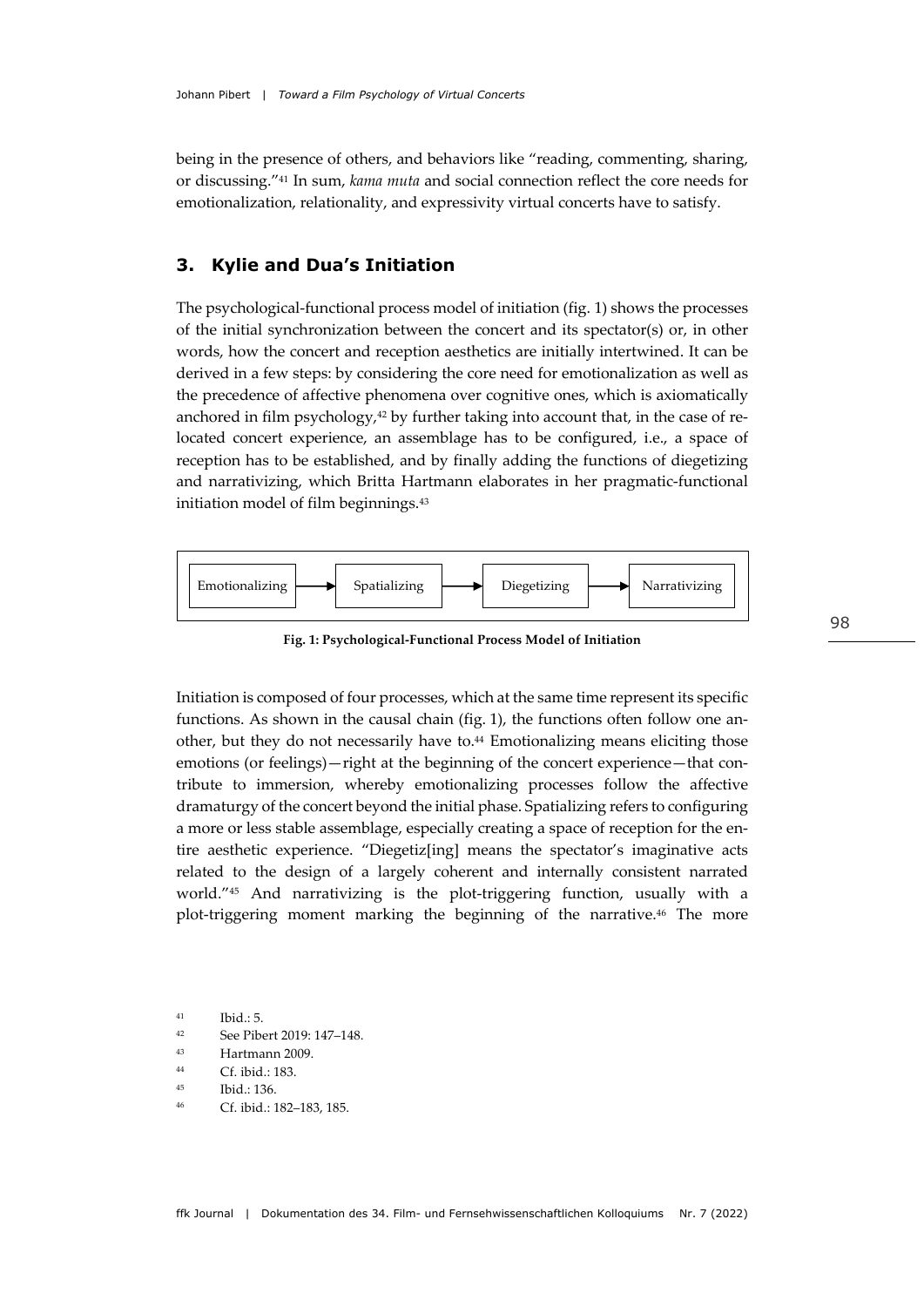being in the presence of others, and behaviors like "reading, commenting, sharing, or discussing."41 In sum, *kama muta* and social connection reflect the core needs for emotionalization, relationality, and expressivity virtual concerts have to satisfy.

### **3. Kylie and Dua's Initiation**

The psychological-functional process model of initiation (fig. 1) shows the processes of the initial synchronization between the concert and its spectator(s) or, in other words, how the concert and reception aesthetics are initially intertwined. It can be derived in a few steps: by considering the core need for emotionalization as well as the precedence of affective phenomena over cognitive ones, which is axiomatically anchored in film psychology, $42$  by further taking into account that, in the case of relocated concert experience, an assemblage has to be configured, i.e., a space of reception has to be established, and by finally adding the functions of diegetizing and narrativizing, which Britta Hartmann elaborates in her pragmatic-functional initiation model of film beginnings.43



**Fig. 1: Psychological-Functional Process Model of Initiation**

Initiation is composed of four processes, which at the same time represent its specific functions. As shown in the causal chain (fig. 1), the functions often follow one another, but they do not necessarily have to.44 Emotionalizing means eliciting those emotions (or feelings)—right at the beginning of the concert experience—that contribute to immersion, whereby emotionalizing processes follow the affective dramaturgy of the concert beyond the initial phase. Spatializing refers to configuring a more or less stable assemblage, especially creating a space of reception for the entire aesthetic experience. "Diegetiz[ing] means the spectator's imaginative acts related to the design of a largely coherent and internally consistent narrated world."45 And narrativizing is the plot-triggering function, usually with a plot-triggering moment marking the beginning of the narrative.46 The more

 $41$  Ibid.: 5

- <sup>42</sup> See Pibert 2019: 147–148.
- <sup>43</sup> Hartmann 2009.
- <sup>44</sup> Cf. ibid.: 183.
- <sup>45</sup> Ibid.: 136.
- <sup>46</sup> Cf. ibid.: 182–183, 185.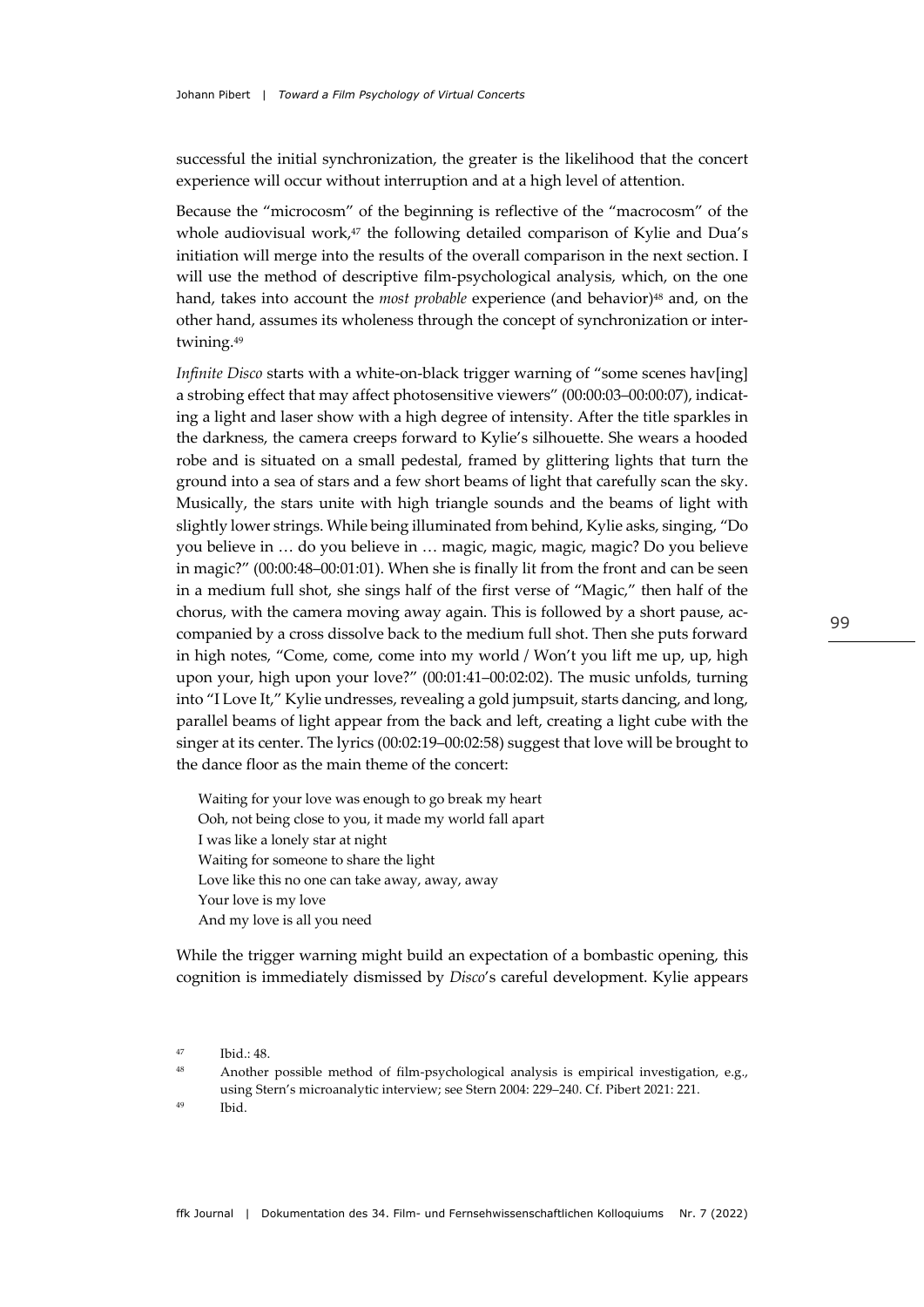successful the initial synchronization, the greater is the likelihood that the concert experience will occur without interruption and at a high level of attention.

Because the "microcosm" of the beginning is reflective of the "macrocosm" of the whole audiovisual work,<sup>47</sup> the following detailed comparison of Kylie and Dua's initiation will merge into the results of the overall comparison in the next section. I will use the method of descriptive film-psychological analysis, which, on the one hand, takes into account the *most probable* experience (and behavior)<sup>48</sup> and, on the other hand, assumes its wholeness through the concept of synchronization or intertwining.49

*Infinite Disco* starts with a white-on-black trigger warning of "some scenes hav[ing] a strobing effect that may affect photosensitive viewers" (00:00:03–00:00:07), indicating a light and laser show with a high degree of intensity. After the title sparkles in the darkness, the camera creeps forward to Kylie's silhouette. She wears a hooded robe and is situated on a small pedestal, framed by glittering lights that turn the ground into a sea of stars and a few short beams of light that carefully scan the sky. Musically, the stars unite with high triangle sounds and the beams of light with slightly lower strings. While being illuminated from behind, Kylie asks, singing, "Do you believe in … do you believe in … magic, magic, magic, magic? Do you believe in magic?" (00:00:48–00:01:01). When she is finally lit from the front and can be seen in a medium full shot, she sings half of the first verse of "Magic," then half of the chorus, with the camera moving away again. This is followed by a short pause, accompanied by a cross dissolve back to the medium full shot. Then she puts forward in high notes, "Come, come, come into my world / Won't you lift me up, up, high upon your, high upon your love?" (00:01:41–00:02:02). The music unfolds, turning into "I Love It," Kylie undresses, revealing a gold jumpsuit, starts dancing, and long, parallel beams of light appear from the back and left, creating a light cube with the singer at its center. The lyrics (00:02:19–00:02:58) suggest that love will be brought to the dance floor as the main theme of the concert:

Waiting for your love was enough to go break my heart Ooh, not being close to you, it made my world fall apart I was like a lonely star at night Waiting for someone to share the light Love like this no one can take away, away, away Your love is my love And my love is all you need

While the trigger warning might build an expectation of a bombastic opening, this cognition is immediately dismissed by *Disco*'s careful development. Kylie appears

 $47$  Ibid.:  $48$ 

<sup>48</sup> Another possible method of film-psychological analysis is empirical investigation, e.g., using Stern's microanalytic interview; see Stern 2004: 229–240. Cf. Pibert 2021: 221. <sup>49</sup> Ibid.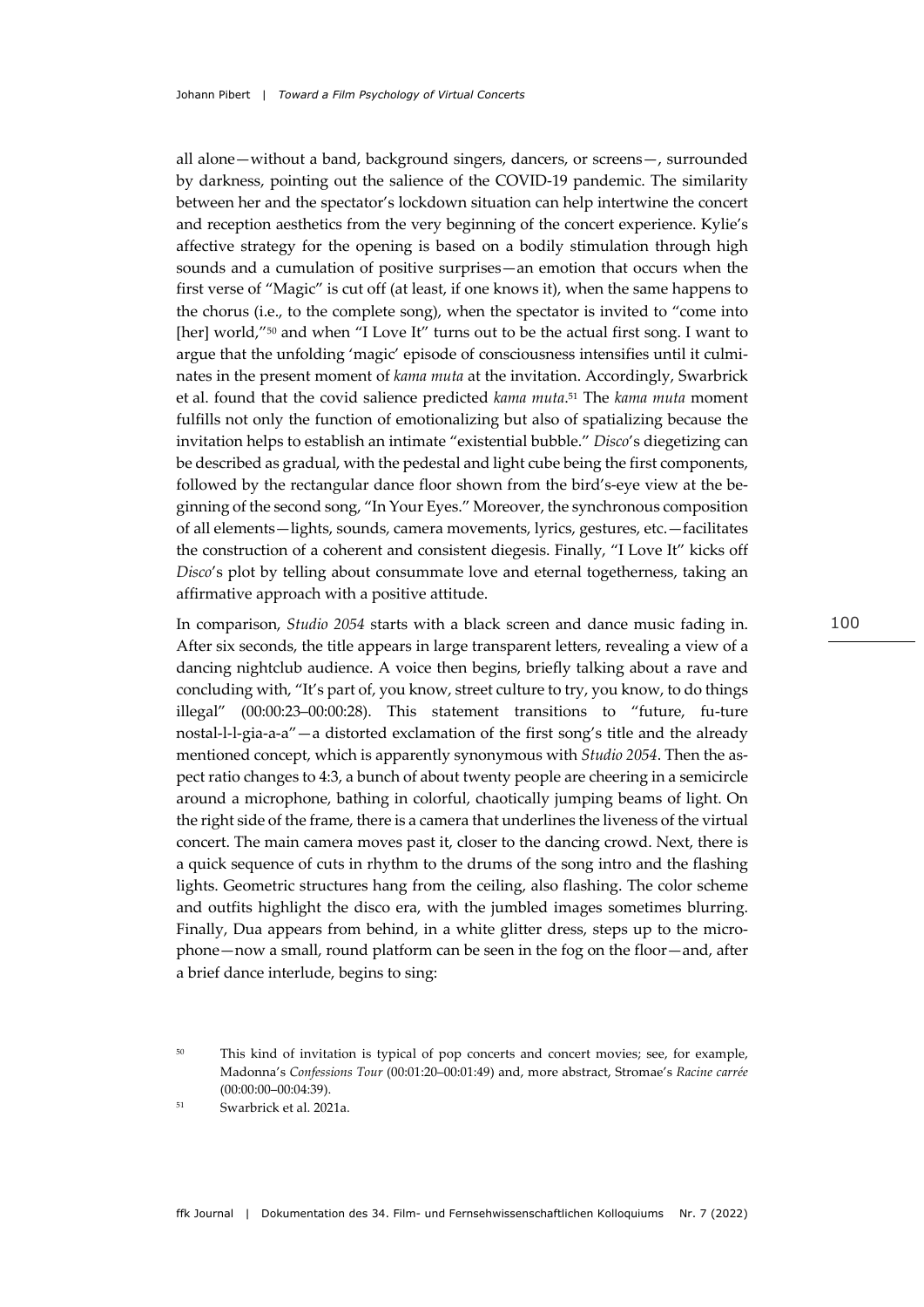all alone—without a band, background singers, dancers, or screens—, surrounded by darkness, pointing out the salience of the COVID-19 pandemic. The similarity between her and the spectator's lockdown situation can help intertwine the concert and reception aesthetics from the very beginning of the concert experience. Kylie's affective strategy for the opening is based on a bodily stimulation through high sounds and a cumulation of positive surprises—an emotion that occurs when the first verse of "Magic" is cut off (at least, if one knows it), when the same happens to the chorus (i.e., to the complete song), when the spectator is invited to "come into [her] world,"<sup>50</sup> and when "I Love It" turns out to be the actual first song. I want to argue that the unfolding 'magic' episode of consciousness intensifies until it culminates in the present moment of *kama muta* at the invitation. Accordingly, Swarbrick et al. found that the covid salience predicted *kama muta*.51 The *kama muta* moment fulfills not only the function of emotionalizing but also of spatializing because the invitation helps to establish an intimate "existential bubble." *Disco*'s diegetizing can be described as gradual, with the pedestal and light cube being the first components, followed by the rectangular dance floor shown from the bird's-eye view at the beginning of the second song, "In Your Eyes." Moreover, the synchronous composition of all elements—lights, sounds, camera movements, lyrics, gestures, etc.—facilitates the construction of a coherent and consistent diegesis. Finally, "I Love It" kicks off *Disco*'s plot by telling about consummate love and eternal togetherness, taking an affirmative approach with a positive attitude.

In comparison, *Studio 2054* starts with a black screen and dance music fading in. After six seconds, the title appears in large transparent letters, revealing a view of a dancing nightclub audience. A voice then begins, briefly talking about a rave and concluding with, "It's part of, you know, street culture to try, you know, to do things illegal" (00:00:23–00:00:28). This statement transitions to "future, fu-ture nostal-l-l-gia-a-a"—a distorted exclamation of the first song's title and the already mentioned concept, which is apparently synonymous with *Studio 2054*. Then the aspect ratio changes to 4:3, a bunch of about twenty people are cheering in a semicircle around a microphone, bathing in colorful, chaotically jumping beams of light. On the right side of the frame, there is a camera that underlines the liveness of the virtual concert. The main camera moves past it, closer to the dancing crowd. Next, there is a quick sequence of cuts in rhythm to the drums of the song intro and the flashing lights. Geometric structures hang from the ceiling, also flashing. The color scheme and outfits highlight the disco era, with the jumbled images sometimes blurring. Finally, Dua appears from behind, in a white glitter dress, steps up to the microphone—now a small, round platform can be seen in the fog on the floor—and, after a brief dance interlude, begins to sing:

<sup>&</sup>lt;sup>50</sup> This kind of invitation is typical of pop concerts and concert movies; see, for example, Madonna's *Confessions Tour* (00:01:20–00:01:49) and, more abstract, Stromae's *Racine carrée* (00:00:00–00:04:39).

<sup>51</sup> Swarbrick et al. 2021a.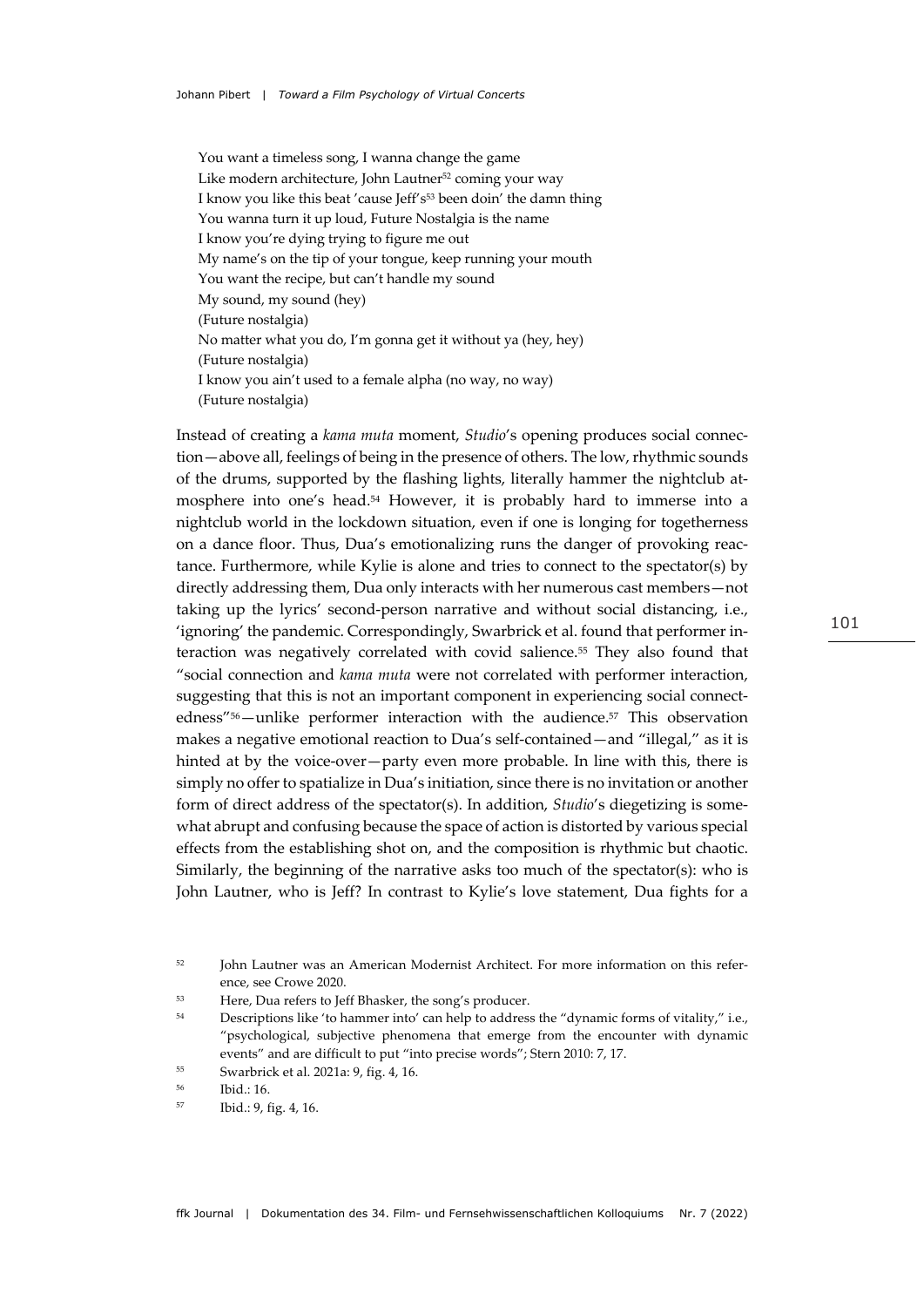You want a timeless song, I wanna change the game Like modern architecture, John Lautner<sup>52</sup> coming your way I know you like this beat 'cause Jeff's<sup>53</sup> been doin' the damn thing You wanna turn it up loud, Future Nostalgia is the name I know you're dying trying to figure me out My name's on the tip of your tongue, keep running your mouth You want the recipe, but can't handle my sound My sound, my sound (hey) (Future nostalgia) No matter what you do, I'm gonna get it without ya (hey, hey) (Future nostalgia) I know you ain't used to a female alpha (no way, no way) (Future nostalgia)

Instead of creating a *kama muta* moment, *Studio*'s opening produces social connection—above all, feelings of being in the presence of others. The low, rhythmic sounds of the drums, supported by the flashing lights, literally hammer the nightclub atmosphere into one's head.54 However, it is probably hard to immerse into a nightclub world in the lockdown situation, even if one is longing for togetherness on a dance floor. Thus, Dua's emotionalizing runs the danger of provoking reactance. Furthermore, while Kylie is alone and tries to connect to the spectator(s) by directly addressing them, Dua only interacts with her numerous cast members—not taking up the lyrics' second-person narrative and without social distancing, i.e., 'ignoring' the pandemic. Correspondingly, Swarbrick et al. found that performer interaction was negatively correlated with covid salience.55 They also found that "social connection and *kama muta* were not correlated with performer interaction, suggesting that this is not an important component in experiencing social connectedness"56—unlike performer interaction with the audience.57 This observation makes a negative emotional reaction to Dua's self-contained—and "illegal," as it is hinted at by the voice-over—party even more probable. In line with this, there is simply no offer to spatialize in Dua's initiation, since there is no invitation or another form of direct address of the spectator(s). In addition, *Studio*'s diegetizing is somewhat abrupt and confusing because the space of action is distorted by various special effects from the establishing shot on, and the composition is rhythmic but chaotic. Similarly, the beginning of the narrative asks too much of the spectator(s): who is John Lautner, who is Jeff? In contrast to Kylie's love statement, Dua fights for a

<sup>&</sup>lt;sup>52</sup> John Lautner was an American Modernist Architect. For more information on this reference, see Crowe 2020.

<sup>53</sup> Here, Dua refers to Jeff Bhasker, the song's producer.

<sup>&</sup>lt;sup>54</sup> Descriptions like 'to hammer into' can help to address the "dynamic forms of vitality," i.e., "psychological, subjective phenomena that emerge from the encounter with dynamic events" and are difficult to put "into precise words"; Stern 2010: 7, 17.

<sup>55</sup> Swarbrick et al. 2021a: 9, fig. 4, 16.

<sup>56</sup> Ibid.: 16.

<sup>57</sup> Ibid.: 9, fig. 4, 16.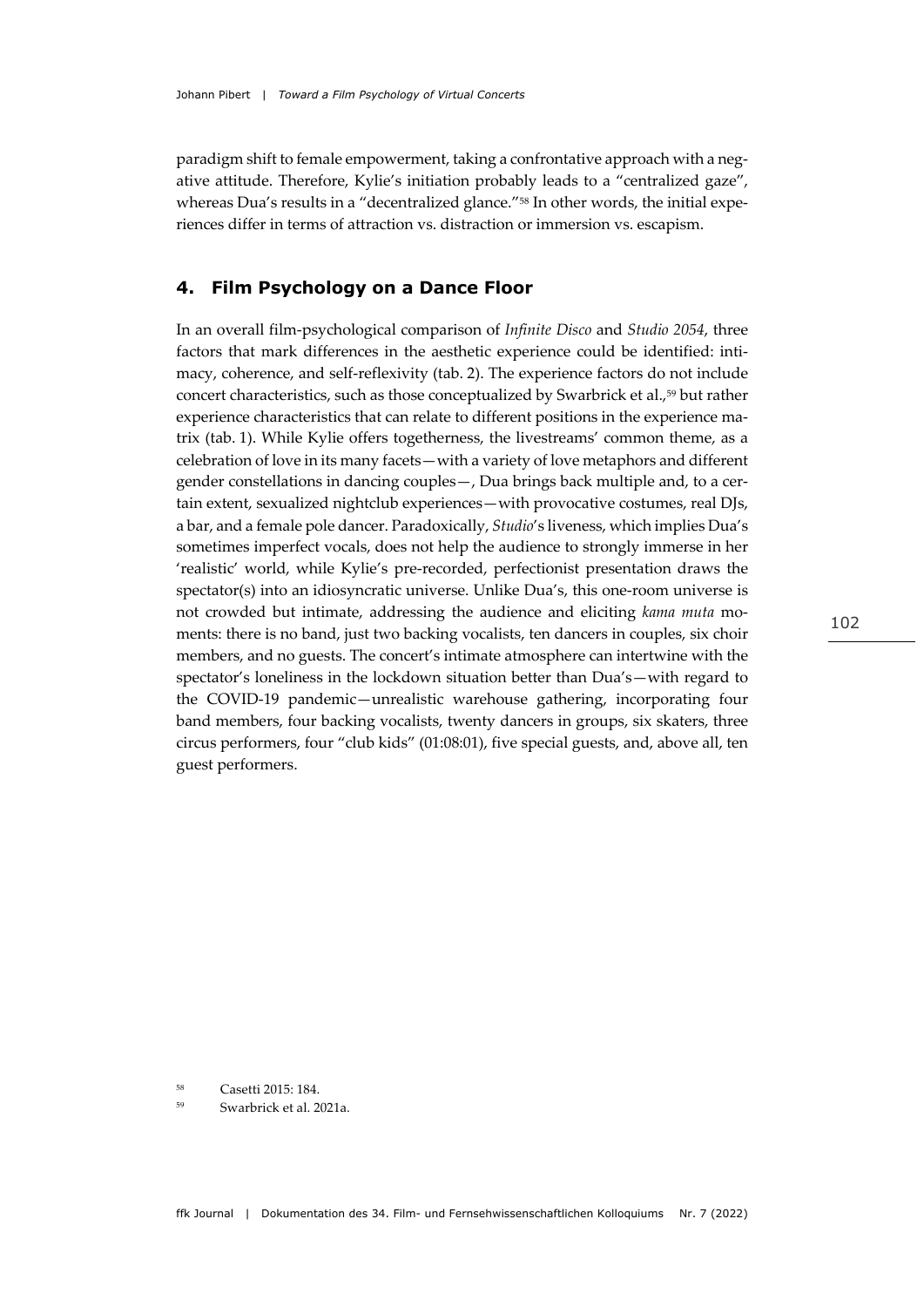paradigm shift to female empowerment, taking a confrontative approach with a negative attitude. Therefore, Kylie's initiation probably leads to a "centralized gaze", whereas Dua's results in a "decentralized glance."<sup>58</sup> In other words, the initial experiences differ in terms of attraction vs. distraction or immersion vs. escapism.

#### **4. Film Psychology on a Dance Floor**

In an overall film-psychological comparison of *Infinite Disco* and *Studio 2054*, three factors that mark differences in the aesthetic experience could be identified: intimacy, coherence, and self-reflexivity (tab. 2). The experience factors do not include concert characteristics, such as those conceptualized by Swarbrick et al.,59 but rather experience characteristics that can relate to different positions in the experience matrix (tab. 1). While Kylie offers togetherness, the livestreams' common theme, as a celebration of love in its many facets—with a variety of love metaphors and different gender constellations in dancing couples—, Dua brings back multiple and, to a certain extent, sexualized nightclub experiences—with provocative costumes, real DJs, a bar, and a female pole dancer. Paradoxically, *Studio*'s liveness, which implies Dua's sometimes imperfect vocals, does not help the audience to strongly immerse in her 'realistic' world, while Kylie's pre-recorded, perfectionist presentation draws the spectator(s) into an idiosyncratic universe. Unlike Dua's, this one-room universe is not crowded but intimate, addressing the audience and eliciting *kama muta* moments: there is no band, just two backing vocalists, ten dancers in couples, six choir members, and no guests. The concert's intimate atmosphere can intertwine with the spectator's loneliness in the lockdown situation better than Dua's—with regard to the COVID-19 pandemic—unrealistic warehouse gathering, incorporating four band members, four backing vocalists, twenty dancers in groups, six skaters, three circus performers, four "club kids" (01:08:01), five special guests, and, above all, ten guest performers.

<sup>58</sup> Casetti 2015: 184.

<sup>59</sup> Swarbrick et al. 2021a.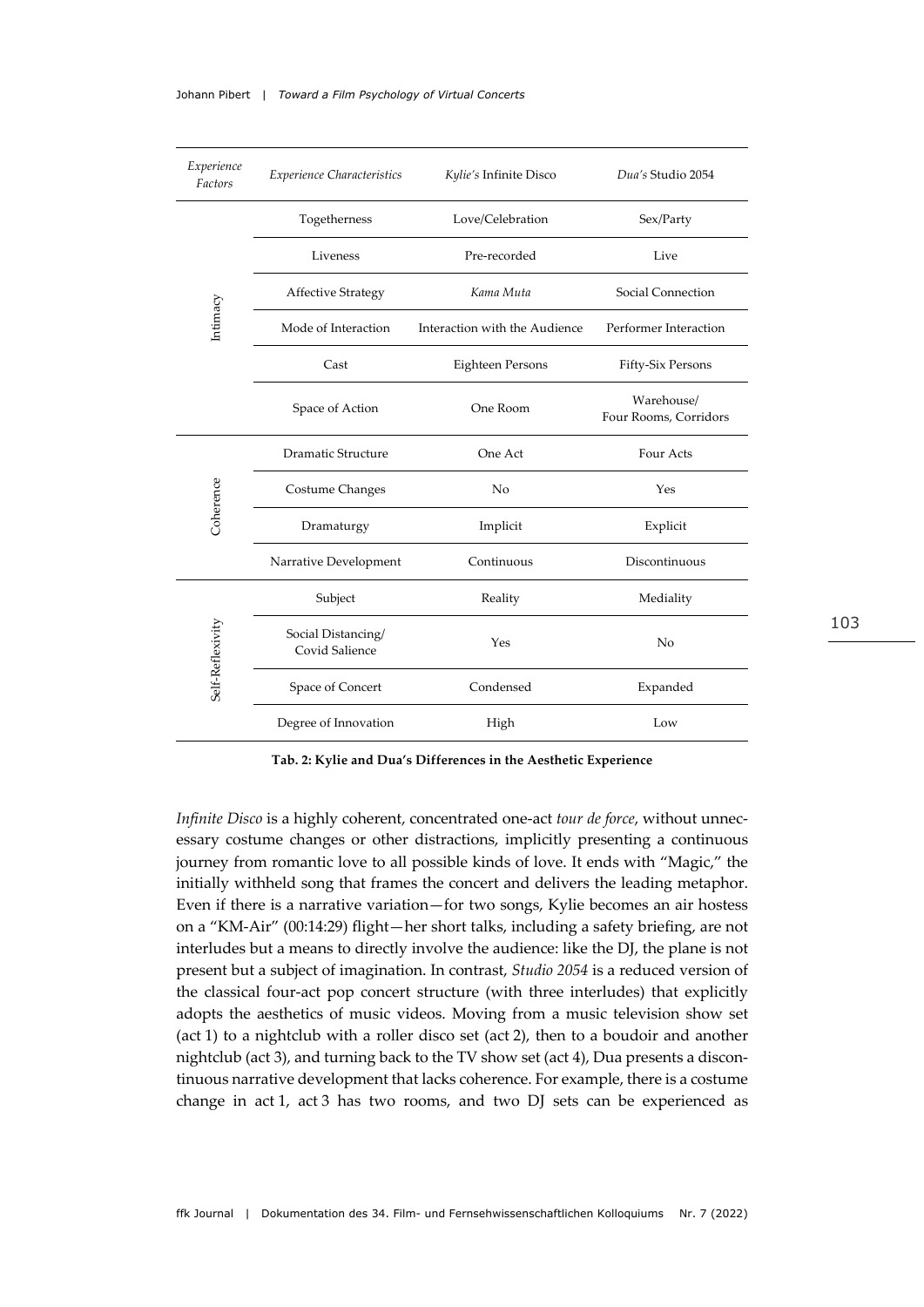| Experience<br>Factors | <b>Experience Characteristics</b>    | Kylie's Infinite Disco        | Dua's Studio 2054                   |  |
|-----------------------|--------------------------------------|-------------------------------|-------------------------------------|--|
|                       | Togetherness                         | Love/Celebration              | Sex/Party                           |  |
|                       | Liveness                             | Pre-recorded                  | Live                                |  |
|                       | <b>Affective Strategy</b>            | Kama Muta                     | Social Connection                   |  |
| Intimacy              | Mode of Interaction                  | Interaction with the Audience | Performer Interaction               |  |
|                       | Cast                                 | Eighteen Persons              | Fifty-Six Persons                   |  |
|                       | Space of Action                      | One Room                      | Warehouse/<br>Four Rooms, Corridors |  |
|                       | Dramatic Structure                   | One Act                       | Four Acts                           |  |
| Coherence             | Costume Changes                      | No                            | Yes                                 |  |
|                       | Dramaturgy                           | Implicit                      | Explicit                            |  |
|                       | Narrative Development                | Continuous                    | Discontinuous                       |  |
|                       | Subject                              | Reality                       | Mediality                           |  |
| Self-Reflexivity      | Social Distancing/<br>Covid Salience | Yes                           | No                                  |  |
|                       | Space of Concert                     | Condensed                     | Expanded                            |  |
|                       | Degree of Innovation                 | High                          | Low                                 |  |

**Tab. 2: Kylie and Dua's Differences in the Aesthetic Experience**

*Infinite Disco* is a highly coherent, concentrated one-act *tour de force*, without unnecessary costume changes or other distractions, implicitly presenting a continuous journey from romantic love to all possible kinds of love. It ends with "Magic," the initially withheld song that frames the concert and delivers the leading metaphor. Even if there is a narrative variation—for two songs, Kylie becomes an air hostess on a "KM-Air" (00:14:29) flight—her short talks, including a safety briefing, are not interludes but a means to directly involve the audience: like the DJ, the plane is not present but a subject of imagination. In contrast, *Studio 2054* is a reduced version of the classical four-act pop concert structure (with three interludes) that explicitly adopts the aesthetics of music videos. Moving from a music television show set (act 1) to a nightclub with a roller disco set (act 2), then to a boudoir and another nightclub (act 3), and turning back to the TV show set (act 4), Dua presents a discontinuous narrative development that lacks coherence. For example, there is a costume change in act 1, act 3 has two rooms, and two DJ sets can be experienced as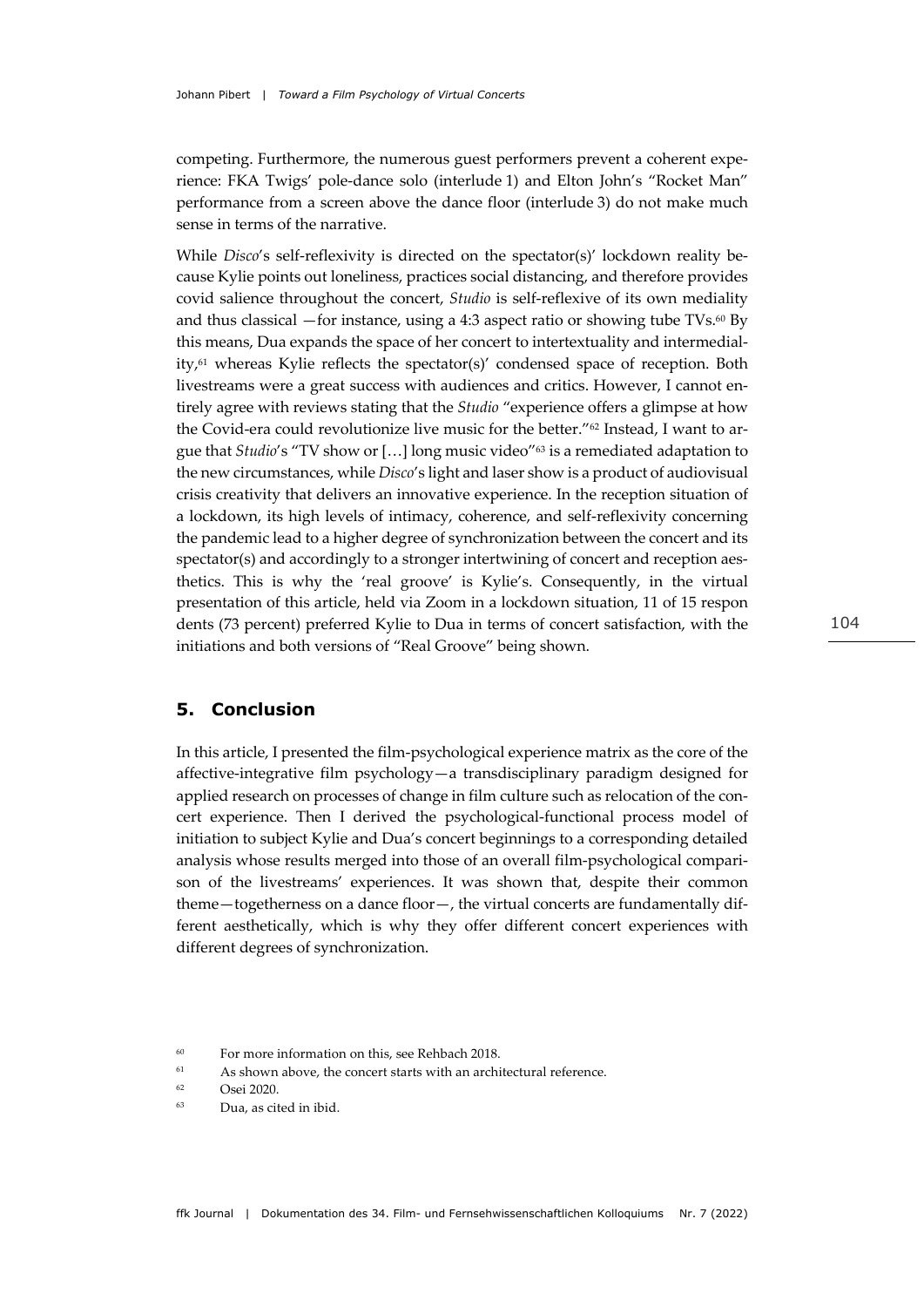competing. Furthermore, the numerous guest performers prevent a coherent experience: FKA Twigs' pole-dance solo (interlude 1) and Elton John's "Rocket Man" performance from a screen above the dance floor (interlude 3) do not make much sense in terms of the narrative.

While *Disco*'s self-reflexivity is directed on the spectator(s)' lockdown reality because Kylie points out loneliness, practices social distancing, and therefore provides covid salience throughout the concert, *Studio* is self-reflexive of its own mediality and thus classical —for instance, using a 4:3 aspect ratio or showing tube TVs. $^{60}$  By this means, Dua expands the space of her concert to intertextuality and intermediality,<sup>61</sup> whereas Kylie reflects the spectator(s)' condensed space of reception. Both livestreams were a great success with audiences and critics. However, I cannot entirely agree with reviews stating that the *Studio* "experience offers a glimpse at how the Covid-era could revolutionize live music for the better."62 Instead, I want to argue that *Studio*'s "TV show or […] long music video"63 is a remediated adaptation to the new circumstances, while *Disco*'s light and laser show is a product of audiovisual crisis creativity that delivers an innovative experience. In the reception situation of a lockdown, its high levels of intimacy, coherence, and self-reflexivity concerning the pandemic lead to a higher degree of synchronization between the concert and its spectator(s) and accordingly to a stronger intertwining of concert and reception aesthetics. This is why the 'real groove' is Kylie's. Consequently, in the virtual presentation of this article, held via Zoom in a lockdown situation, 11 of 15 respon dents (73 percent) preferred Kylie to Dua in terms of concert satisfaction, with the initiations and both versions of "Real Groove" being shown.

## **5. Conclusion**

In this article, I presented the film-psychological experience matrix as the core of the affective-integrative film psychology—a transdisciplinary paradigm designed for applied research on processes of change in film culture such as relocation of the concert experience. Then I derived the psychological-functional process model of initiation to subject Kylie and Dua's concert beginnings to a corresponding detailed analysis whose results merged into those of an overall film-psychological comparison of the livestreams' experiences. It was shown that, despite their common theme—togetherness on a dance floor—, the virtual concerts are fundamentally different aesthetically, which is why they offer different concert experiences with different degrees of synchronization.

<sup>60</sup> For more information on this, see Rehbach 2018.

 $61$  As shown above, the concert starts with an architectural reference.

<sup>62</sup>  $O$ sei 2020

<sup>63</sup> Dua, as cited in ibid.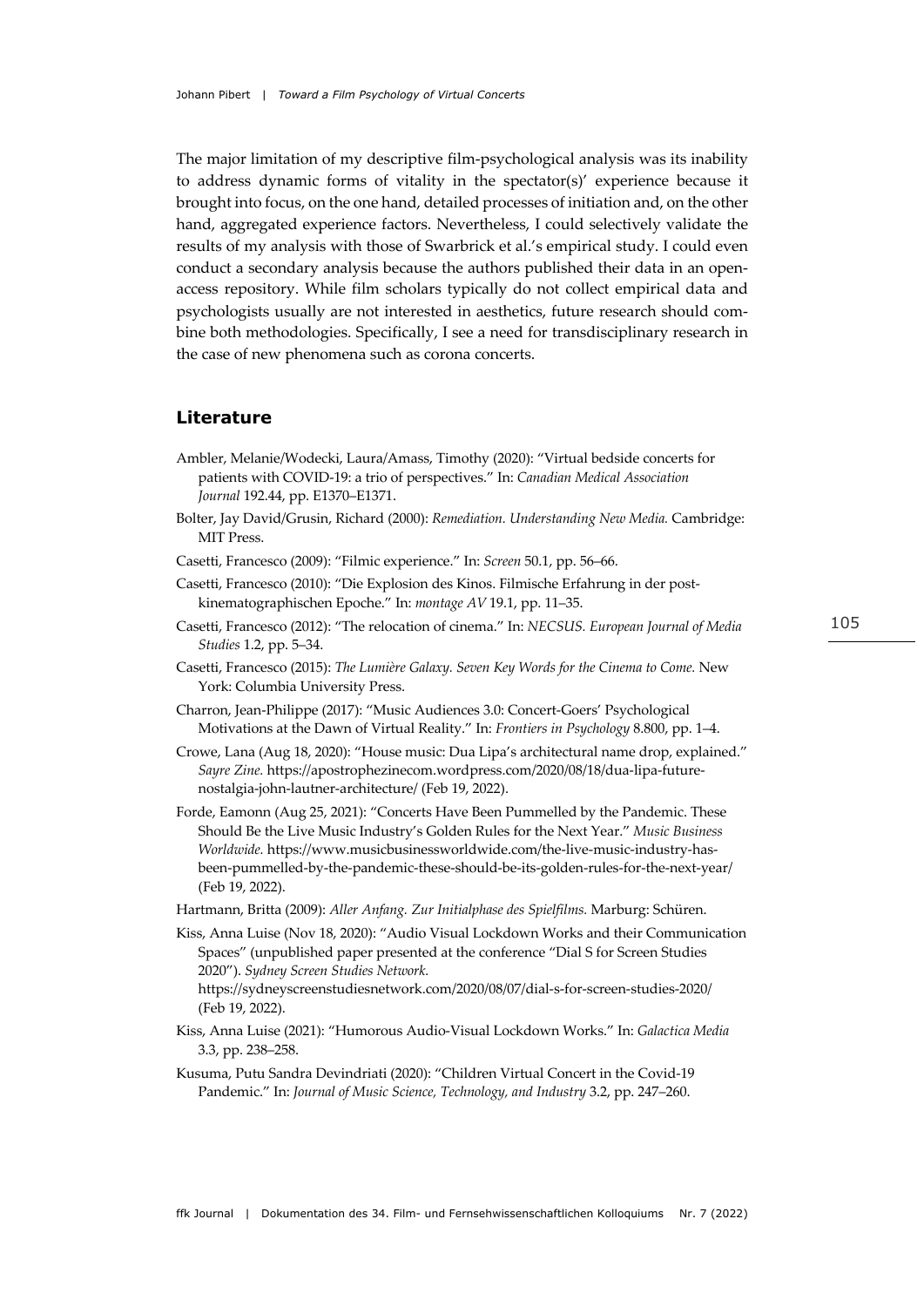The major limitation of my descriptive film-psychological analysis was its inability to address dynamic forms of vitality in the spectator(s)' experience because it brought into focus, on the one hand, detailed processes of initiation and, on the other hand, aggregated experience factors. Nevertheless, I could selectively validate the results of my analysis with those of Swarbrick et al.'s empirical study. I could even conduct a secondary analysis because the authors published their data in an openaccess repository. While film scholars typically do not collect empirical data and psychologists usually are not interested in aesthetics, future research should combine both methodologies. Specifically, I see a need for transdisciplinary research in the case of new phenomena such as corona concerts.

#### **Literature**

- Ambler, Melanie/Wodecki, Laura/Amass, Timothy (2020): "Virtual bedside concerts for patients with COVID-19: a trio of perspectives." In: *Canadian Medical Association Journal* 192.44, pp. E1370–E1371.
- Bolter, Jay David/Grusin, Richard (2000): *Remediation. Understanding New Media.* Cambridge: MIT Press.
- Casetti, Francesco (2009): "Filmic experience." In: *Screen* 50.1, pp. 56–66.
- Casetti, Francesco (2010): "Die Explosion des Kinos. Filmische Erfahrung in der postkinematographischen Epoche." In: *montage AV* 19.1, pp. 11–35.
- Casetti, Francesco (2012): "The relocation of cinema." In: *NECSUS. European Journal of Media Studies* 1.2, pp. 5–34.
- Casetti, Francesco (2015): *The Lumière Galaxy. Seven Key Words for the Cinema to Come.* New York: Columbia University Press.
- Charron, Jean-Philippe (2017): "Music Audiences 3.0: Concert-Goers' Psychological Motivations at the Dawn of Virtual Reality." In: *Frontiers in Psychology* 8.800, pp. 1–4.
- Crowe, Lana (Aug 18, 2020): "House music: Dua Lipa's architectural name drop, explained." *Sayre Zine.* https://apostrophezinecom.wordpress.com/2020/08/18/dua-lipa-futurenostalgia-john-lautner-architecture/ (Feb 19, 2022).
- Forde, Eamonn (Aug 25, 2021): "Concerts Have Been Pummelled by the Pandemic. These Should Be the Live Music Industry's Golden Rules for the Next Year." *Music Business Worldwide.* https://www.musicbusinessworldwide.com/the-live-music-industry-hasbeen-pummelled-by-the-pandemic-these-should-be-its-golden-rules-for-the-next-year/ (Feb 19, 2022).
- Hartmann, Britta (2009): *Aller Anfang. Zur Initialphase des Spielfilms.* Marburg: Schüren.
- Kiss, Anna Luise (Nov 18, 2020): "Audio Visual Lockdown Works and their Communication Spaces" (unpublished paper presented at the conference "Dial S for Screen Studies 2020"). *Sydney Screen Studies Network.* https://sydneyscreenstudiesnetwork.com/2020/08/07/dial-s-for-screen-studies-2020/ (Feb 19, 2022).
- Kiss, Anna Luise (2021): "Humorous Audio-Visual Lockdown Works." In: *Galactica Media* 3.3, pp. 238–258.
- Kusuma, Putu Sandra Devindriati (2020): "Children Virtual Concert in the Covid-19 Pandemic." In: *Journal of Music Science, Technology, and Industry* 3.2, pp. 247–260.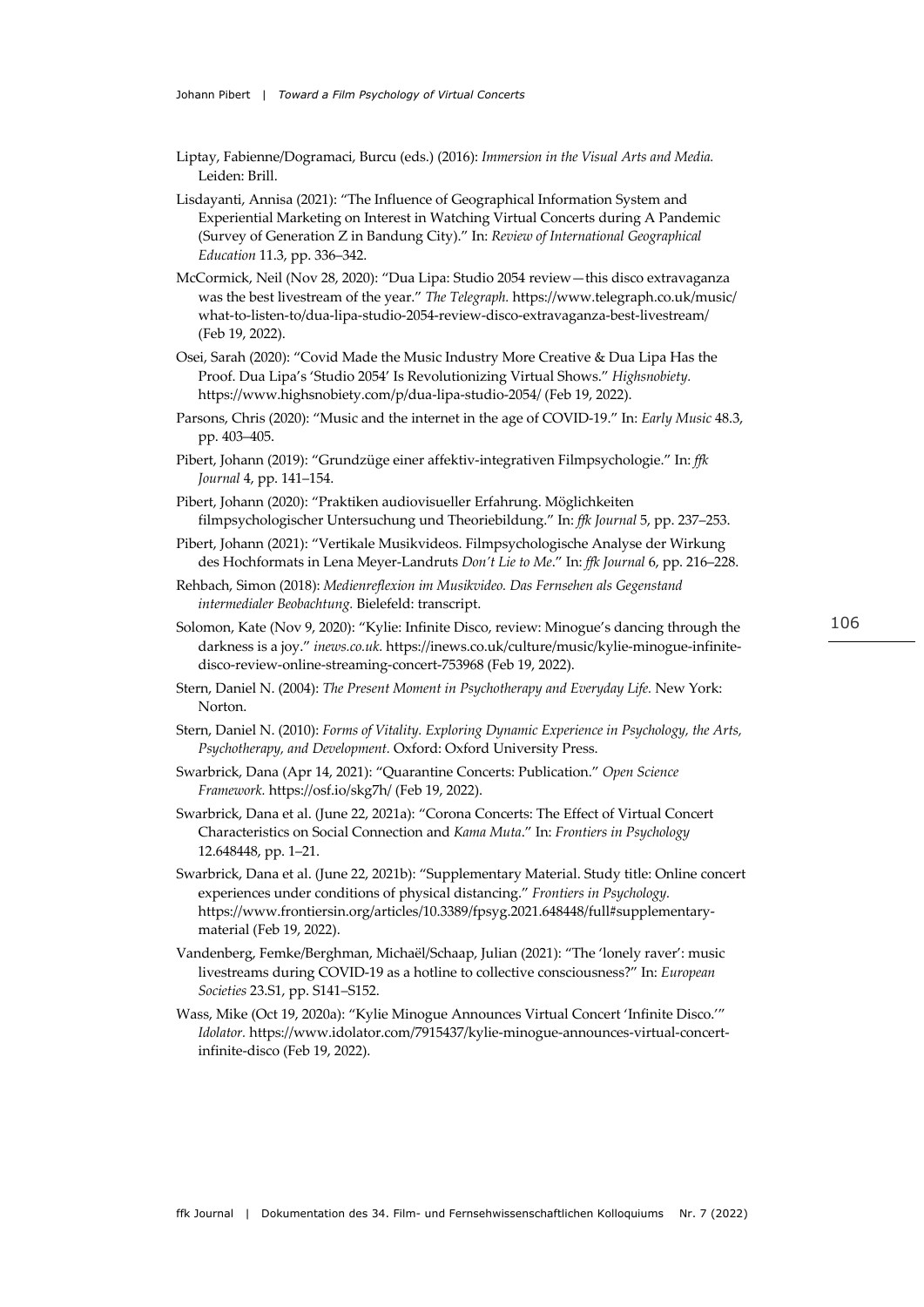Liptay, Fabienne/Dogramaci, Burcu (eds.) (2016): *Immersion in the Visual Arts and Media.* Leiden: Brill.

Lisdayanti, Annisa (2021): "The Influence of Geographical Information System and Experiential Marketing on Interest in Watching Virtual Concerts during A Pandemic (Survey of Generation Z in Bandung City)." In: *Review of International Geographical Education* 11.3, pp. 336–342.

McCormick, Neil (Nov 28, 2020): "Dua Lipa: Studio 2054 review—this disco extravaganza was the best livestream of the year." *The Telegraph.* https://www.telegraph.co.uk/music/ what-to-listen-to/dua-lipa-studio-2054-review-disco-extravaganza-best-livestream/ (Feb 19, 2022).

- Osei, Sarah (2020): "Covid Made the Music Industry More Creative & Dua Lipa Has the Proof. Dua Lipa's 'Studio 2054' Is Revolutionizing Virtual Shows." *Highsnobiety.* https://www.highsnobiety.com/p/dua-lipa-studio-2054/ (Feb 19, 2022).
- Parsons, Chris (2020): "Music and the internet in the age of COVID-19." In: *Early Music* 48.3, pp. 403–405.
- Pibert, Johann (2019): "Grundzüge einer affektiv-integrativen Filmpsychologie." In: *ffk Journal* 4, pp. 141–154.
- Pibert, Johann (2020): "Praktiken audiovisueller Erfahrung. Möglichkeiten filmpsychologischer Untersuchung und Theoriebildung." In: *ffk Journal* 5, pp. 237–253.
- Pibert, Johann (2021): "Vertikale Musikvideos. Filmpsychologische Analyse der Wirkung des Hochformats in Lena Meyer-Landruts *Don't Lie to Me*." In: *ffk Journal* 6, pp. 216–228.
- Rehbach, Simon (2018): *Medienreflexion im Musikvideo. Das Fernsehen als Gegenstand intermedialer Beobachtung.* Bielefeld: transcript.
- Solomon, Kate (Nov 9, 2020): "Kylie: Infinite Disco, review: Minogue's dancing through the darkness is a joy." *inews.co.uk.* https://inews.co.uk/culture/music/kylie-minogue-infinitedisco-review-online-streaming-concert-753968 (Feb 19, 2022).
- Stern, Daniel N. (2004): *The Present Moment in Psychotherapy and Everyday Life.* New York: Norton.
- Stern, Daniel N. (2010): *Forms of Vitality. Exploring Dynamic Experience in Psychology, the Arts, Psychotherapy, and Development.* Oxford: Oxford University Press.
- Swarbrick, Dana (Apr 14, 2021): "Quarantine Concerts: Publication." *Open Science Framework.* https://osf.io/skg7h/ (Feb 19, 2022).
- Swarbrick, Dana et al. (June 22, 2021a): "Corona Concerts: The Effect of Virtual Concert Characteristics on Social Connection and *Kama Muta*." In: *Frontiers in Psychology* 12.648448, pp. 1–21.
- Swarbrick, Dana et al. (June 22, 2021b): "Supplementary Material. Study title: Online concert experiences under conditions of physical distancing." *Frontiers in Psychology.* https://www.frontiersin.org/articles/10.3389/fpsyg.2021.648448/full#supplementarymaterial (Feb 19, 2022).
- Vandenberg, Femke/Berghman, Michaël/Schaap, Julian (2021): "The 'lonely raver': music livestreams during COVID-19 as a hotline to collective consciousness?" In: *European Societies* 23.S1, pp. S141–S152.
- Wass, Mike (Oct 19, 2020a): "Kylie Minogue Announces Virtual Concert 'Infinite Disco.'" *Idolator.* https://www.idolator.com/7915437/kylie-minogue-announces-virtual-concertinfinite-disco (Feb 19, 2022).